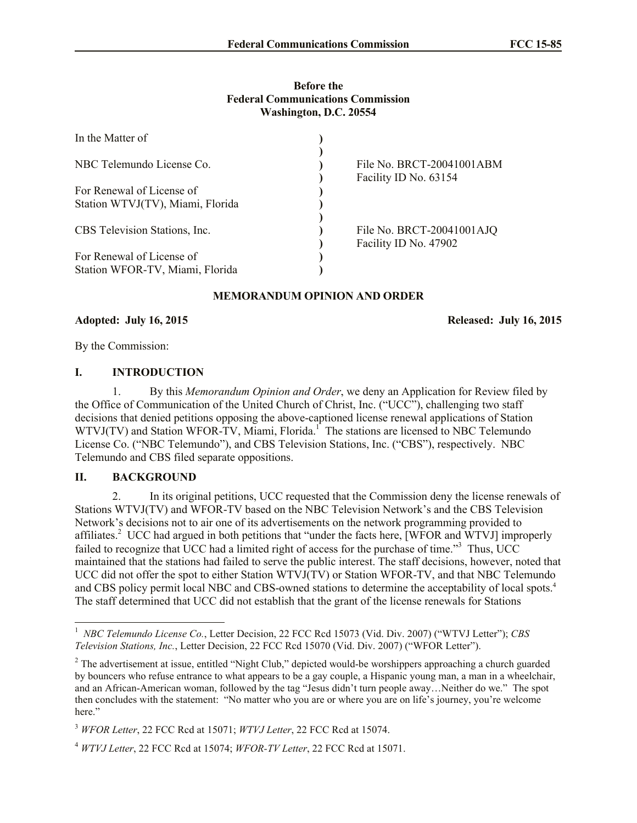# **Before the Federal Communications Commission Washington, D.C. 20554**

| In the Matter of                 |                                                    |
|----------------------------------|----------------------------------------------------|
|                                  |                                                    |
| NBC Telemundo License Co.        | File No. BRCT-20041001ABM<br>Facility ID No. 63154 |
| For Renewal of License of        |                                                    |
| Station WTVJ(TV), Miami, Florida |                                                    |
|                                  |                                                    |
| CBS Television Stations, Inc.    | File No. BRCT-20041001AJQ                          |
|                                  | Facility ID No. 47902                              |
| For Renewal of License of        |                                                    |
| Station WFOR-TV, Miami, Florida  |                                                    |

#### **MEMORANDUM OPINION AND ORDER**

**Adopted: July 16, 2015 Released: July 16, 2015** 

By the Commission:

#### **I. INTRODUCTION**

1. By this *Memorandum Opinion and Order*, we deny an Application for Review filed by the Office of Communication of the United Church of Christ, Inc. ("UCC"), challenging two staff decisions that denied petitions opposing the above-captioned license renewal applications of Station WTVJ(TV) and Station WFOR-TV, Miami, Florida.<sup>1</sup> The stations are licensed to NBC Telemundo License Co. ("NBC Telemundo"), and CBS Television Stations, Inc. ("CBS"), respectively. NBC Telemundo and CBS filed separate oppositions.

# **II. BACKGROUND**

l

2. In its original petitions, UCC requested that the Commission deny the license renewals of Stations WTVJ(TV) and WFOR-TV based on the NBC Television Network's and the CBS Television Network's decisions not to air one of its advertisements on the network programming provided to affiliates.<sup>2</sup> UCC had argued in both petitions that "under the facts here, [WFOR and WTVJ] improperly failed to recognize that UCC had a limited right of access for the purchase of time."<sup>3</sup> Thus, UCC maintained that the stations had failed to serve the public interest. The staff decisions, however, noted that UCC did not offer the spot to either Station WTVJ(TV) or Station WFOR-TV, and that NBC Telemundo and CBS policy permit local NBC and CBS-owned stations to determine the acceptability of local spots.<sup>4</sup> The staff determined that UCC did not establish that the grant of the license renewals for Stations

<sup>&</sup>lt;sup>1</sup> *NBC Telemundo License Co.*, Letter Decision, 22 FCC Rcd 15073 (Vid. Div. 2007) ("WTVJ Letter"); *CBS Television Stations, Inc.*, Letter Decision, 22 FCC Rcd 15070 (Vid. Div. 2007) ("WFOR Letter").

<sup>&</sup>lt;sup>2</sup> The advertisement at issue, entitled "Night Club," depicted would-be worshippers approaching a church guarded by bouncers who refuse entrance to what appears to be a gay couple, a Hispanic young man, a man in a wheelchair, and an African-American woman, followed by the tag "Jesus didn't turn people away…Neither do we." The spot then concludes with the statement: "No matter who you are or where you are on life's journey, you're welcome here."

<sup>3</sup> *WFOR Letter*, 22 FCC Rcd at 15071; *WTVJ Letter*, 22 FCC Rcd at 15074.

<sup>4</sup> *WTVJ Letter*, 22 FCC Rcd at 15074; *WFOR-TV Letter*, 22 FCC Rcd at 15071.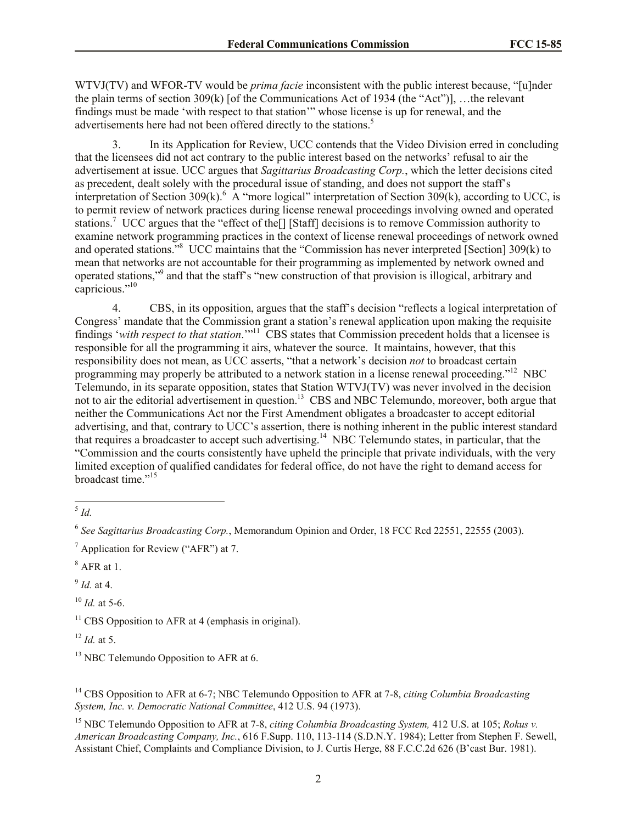WTVJ(TV) and WFOR-TV would be *prima facie* inconsistent with the public interest because, "[u]nder the plain terms of section 309(k) [of the Communications Act of 1934 (the "Act")], …the relevant findings must be made 'with respect to that station'" whose license is up for renewal, and the advertisements here had not been offered directly to the stations.<sup>5</sup>

3. In its Application for Review, UCC contends that the Video Division erred in concluding that the licensees did not act contrary to the public interest based on the networks' refusal to air the advertisement at issue. UCC argues that *Sagittarius Broadcasting Corp.*, which the letter decisions cited as precedent, dealt solely with the procedural issue of standing, and does not support the staff's interpretation of Section 309(k).  $\hat{A}$  "more logical" interpretation of Section 309(k), according to UCC, is to permit review of network practices during license renewal proceedings involving owned and operated stations.<sup>7</sup> UCC argues that the "effect of the[] [Staff] decisions is to remove Commission authority to examine network programming practices in the context of license renewal proceedings of network owned and operated stations.<sup>38</sup> UCC maintains that the "Commission has never interpreted [Section] 309(k) to mean that networks are not accountable for their programming as implemented by network owned and operated stations,"<sup>9</sup> and that the staff's "new construction of that provision is illogical, arbitrary and capricious."<sup>10</sup>

4. CBS, in its opposition, argues that the staff's decision "reflects a logical interpretation of Congress' mandate that the Commission grant a station's renewal application upon making the requisite findings 'with respect to that station.'"<sup>11</sup> CBS states that Commission precedent holds that a licensee is responsible for all the programming it airs, whatever the source. It maintains, however, that this responsibility does not mean, as UCC asserts, "that a network's decision *not* to broadcast certain programming may properly be attributed to a network station in a license renewal proceeding."<sup>12</sup> NBC Telemundo, in its separate opposition, states that Station WTVJ(TV) was never involved in the decision not to air the editorial advertisement in question.<sup>13</sup> CBS and NBC Telemundo, moreover, both argue that neither the Communications Act nor the First Amendment obligates a broadcaster to accept editorial advertising, and that, contrary to UCC's assertion, there is nothing inherent in the public interest standard that requires a broadcaster to accept such advertising.<sup>14</sup> NBC Telemundo states, in particular, that the "Commission and the courts consistently have upheld the principle that private individuals, with the very limited exception of qualified candidates for federal office, do not have the right to demand access for broadcast time."<sup>15</sup>

9 *Id.* at 4.

<sup>10</sup> *Id.* at 5-6.

 $12$  *Id.* at 5.

 $\frac{5}{5}$ *Id.* 

<sup>6</sup> *See Sagittarius Broadcasting Corp.*, Memorandum Opinion and Order, 18 FCC Rcd 22551, 22555 (2003).

<sup>7</sup> Application for Review ("AFR") at 7.

 $8$  AFR at 1.

 $11$  CBS Opposition to AFR at 4 (emphasis in original).

 $13$  NBC Telemundo Opposition to AFR at 6.

<sup>14</sup> CBS Opposition to AFR at 6-7; NBC Telemundo Opposition to AFR at 7-8, *citing Columbia Broadcasting System, Inc. v. Democratic National Committee*, 412 U.S. 94 (1973).

<sup>15</sup> NBC Telemundo Opposition to AFR at 7-8, *citing Columbia Broadcasting System,* 412 U.S. at 105; *Rokus v. American Broadcasting Company, Inc.*, 616 F.Supp. 110, 113-114 (S.D.N.Y. 1984); Letter from Stephen F. Sewell, Assistant Chief, Complaints and Compliance Division, to J. Curtis Herge, 88 F.C.C.2d 626 (B'cast Bur. 1981).